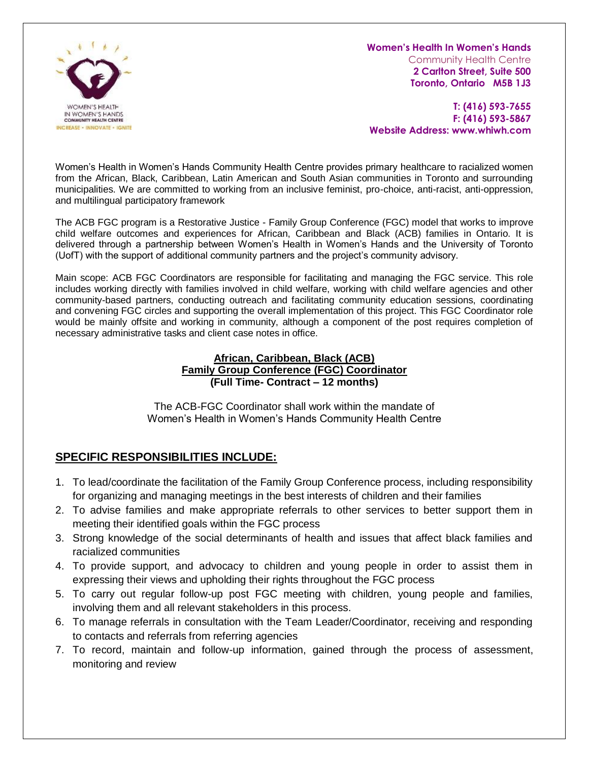

**Women's Health In Women's Hands**

Community Health Centre **2 Carlton Street, Suite 500 Toronto, Ontario M5B 1J3**

**T: (416) 593-7655 F: (416) 593-5867 Website Address: www.whiwh.com**

Women's Health in Women's Hands Community Health Centre provides primary healthcare to racialized women from the African, Black, Caribbean, Latin American and South Asian communities in Toronto and surrounding municipalities. We are committed to working from an inclusive feminist, pro-choice, anti-racist, anti-oppression, and multilingual participatory framework

The ACB FGC program is a Restorative Justice - Family Group Conference (FGC) model that works to improve child welfare outcomes and experiences for African, Caribbean and Black (ACB) families in Ontario. It is delivered through a partnership between Women's Health in Women's Hands and the University of Toronto (UofT) with the support of additional community partners and the project's community advisory.

Main scope: ACB FGC Coordinators are responsible for facilitating and managing the FGC service. This role includes working directly with families involved in child welfare, working with child welfare agencies and other community-based partners, conducting outreach and facilitating community education sessions, coordinating and convening FGC circles and supporting the overall implementation of this project. This FGC Coordinator role would be mainly offsite and working in community, although a component of the post requires completion of necessary administrative tasks and client case notes in office.

#### **African, Caribbean, Black (ACB) Family Group Conference (FGC) Coordinator (Full Time- Contract – 12 months)**

The ACB-FGC Coordinator shall work within the mandate of Women's Health in Women's Hands Community Health Centre

# **SPECIFIC RESPONSIBILITIES INCLUDE:**

- 1. To lead/coordinate the facilitation of the Family Group Conference process, including responsibility for organizing and managing meetings in the best interests of children and their families
- 2. To advise families and make appropriate referrals to other services to better support them in meeting their identified goals within the FGC process
- 3. Strong knowledge of the social determinants of health and issues that affect black families and racialized communities
- 4. To provide support, and advocacy to children and young people in order to assist them in expressing their views and upholding their rights throughout the FGC process
- 5. To carry out regular follow-up post FGC meeting with children, young people and families, involving them and all relevant stakeholders in this process.
- 6. To manage referrals in consultation with the Team Leader/Coordinator, receiving and responding to contacts and referrals from referring agencies
- 7. To record, maintain and follow-up information, gained through the process of assessment, monitoring and review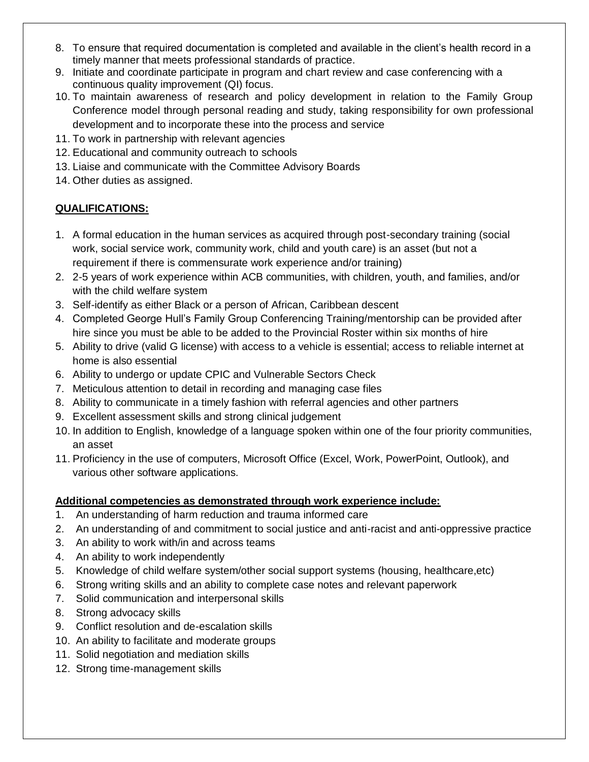- 8. To ensure that required documentation is completed and available in the client's health record in a timely manner that meets professional standards of practice.
- 9. Initiate and coordinate participate in program and chart review and case conferencing with a continuous quality improvement (QI) focus.
- 10. To maintain awareness of research and policy development in relation to the Family Group Conference model through personal reading and study, taking responsibility for own professional development and to incorporate these into the process and service
- 11. To work in partnership with relevant agencies
- 12. Educational and community outreach to schools
- 13. Liaise and communicate with the Committee Advisory Boards
- 14. Other duties as assigned.

# **QUALIFICATIONS:**

- 1. A formal education in the human services as acquired through post-secondary training (social work, social service work, community work, child and youth care) is an asset (but not a requirement if there is commensurate work experience and/or training)
- 2. 2-5 years of work experience within ACB communities, with children, youth, and families, and/or with the child welfare system
- 3. Self-identify as either Black or a person of African, Caribbean descent
- 4. Completed George Hull's Family Group Conferencing Training/mentorship can be provided after hire since you must be able to be added to the Provincial Roster within six months of hire
- 5. Ability to drive (valid G license) with access to a vehicle is essential; access to reliable internet at home is also essential
- 6. Ability to undergo or update CPIC and Vulnerable Sectors Check
- 7. Meticulous attention to detail in recording and managing case files
- 8. Ability to communicate in a timely fashion with referral agencies and other partners
- 9. Excellent assessment skills and strong clinical judgement
- 10. In addition to English, knowledge of a language spoken within one of the four priority communities, an asset
- 11. Proficiency in the use of computers, Microsoft Office (Excel, Work, PowerPoint, Outlook), and various other software applications.

### **Additional competencies as demonstrated through work experience include:**

- 1. An understanding of harm reduction and trauma informed care
- 2. An understanding of and commitment to social justice and anti-racist and anti-oppressive practice
- 3. An ability to work with/in and across teams
- 4. An ability to work independently
- 5. Knowledge of child welfare system/other social support systems (housing, healthcare,etc)
- 6. Strong writing skills and an ability to complete case notes and relevant paperwork
- 7. Solid communication and interpersonal skills
- 8. Strong advocacy skills
- 9. Conflict resolution and de-escalation skills
- 10. An ability to facilitate and moderate groups
- 11. Solid negotiation and mediation skills
- 12. Strong time-management skills